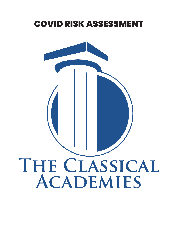# <span id="page-0-0"></span>COVID RISK ASSESSMENT

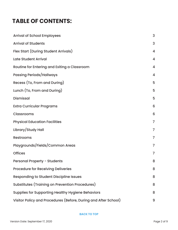# <span id="page-1-0"></span>**TABLE OF CONTENTS:**

| <b>Arrival of School Employees</b>                              | 3              |
|-----------------------------------------------------------------|----------------|
| <b>Arrival of Students</b>                                      | 3              |
| Flex Start (During Student Arrivals)                            | 4              |
| <b>Late Student Arrival</b>                                     | 4              |
| Routine for Entering and Exiting a Classroom                    | 4              |
| <b>Passing Periods/Hallways</b>                                 | 4              |
| Recess (To, From and During)                                    | 5              |
| Lunch (To, From and During)                                     | 5              |
| <b>Dismissal</b>                                                | 5              |
| <b>Extra Curricular Programs</b>                                | 6              |
| <b>Classrooms</b>                                               | 6              |
| <b>Physical Education Facilities</b>                            | $\overline{7}$ |
| Library/Study Hall                                              | $\overline{7}$ |
| <b>Restrooms</b>                                                | $\overline{7}$ |
| Playgrounds/Fields/Common Areas                                 | $\overline{7}$ |
| <b>Offices</b>                                                  | $\overline{7}$ |
| <b>Personal Property - Students</b>                             | 8              |
| <b>Procedure for Receiving Deliveries</b>                       | 8              |
| <b>Responding to Student Discipline Issues</b>                  | 8              |
| Substitutes (Training on Prevention Procedures)                 | 8              |
| <b>Supplies for Supporting Healthy Hygiene Behaviors</b>        | 8              |
| Visitor Policy and Procedures (Before, During and After School) | 9              |

#### **BACK TO TOP**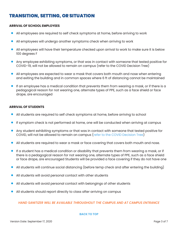## <span id="page-2-0"></span>TRANSITION, SETTING, OR SITUATION

#### **ARRIVAL OF SCHOOL EMPLOYEES**

- All employees are required to self check symptoms at home, before arriving to work  $\bullet$
- All employees will undergo another symptoms check when arriving to work  $\bullet$
- All employees will have their temperature checked upon arrival to work to make sure it is below 100 degrees F  $\bullet$
- Any employee exhibiting symptoms, or that was in contact with someone that tested positive for COVID-19, will not be allowed to remain on campus [\(refer to the COVID Decision Tree\)](https://classicalacademy.com/wp-content/uploads/2020/09/COVID-Decision-Tree.pdf)  $\bullet$
- All employees are expected to wear a mask that covers both mouth and nose when entering and exiting the building and in common spaces where 6 ft of distancing cannot be maintained  $\bullet$
- If an employee has a medical condition that prevents them from wearing a mask, or if there is a pedagogical reason for not wearing one, alternate types of PPE, such as a face shield or face drape, are encouraged  $\bullet$

#### **ARRIVAL OF STUDENTS**

- All students are required to self check symptoms at home, before arriving to school  $\bullet$
- If symptom check is not performed at home, one will be conducted when arriving at campus  $\bullet$
- Any student exhibiting symptoms or that was in contact with someone that tested positive for COVID, will not be allowed to remain on campus [\(refer to the COVID Decision Tree\)](https://classicalacademy.com/wp-content/uploads/2020/09/COVID-Decision-Tree.pdf)  $\bullet$
- All students are required to wear a mask or face covering that covers both mouth and nose.  $\bullet$
- If a student has a medical condition or disability that prevents them from wearing a mask, or if there is a pedagogical reason for not wearing one, alternate types of PPE, such as a face shield or face drape, are encouraged Students will be provided a face covering if they do not have one  $\bullet$
- All students will continue social distancing (before temp check and after entering the building)  $\bullet$
- All students will avoid personal contact with other students  $\bullet$
- All students will avoid personal contact with belongings of other students  $\bullet$
- All students should report directly to class after arriving on campus  $\bullet$

#### *HAND SANITIZER WILL BE AVAILABLE THROUGHOUT THE CAMPUS AND AT CAMPUS ENTRANCE*

#### **[BACK TO TOP](#page-1-0)**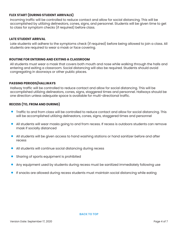#### <span id="page-3-0"></span>**FLEX START (DURING STUDENT ARRIVALS)**

Incoming traffic will be controlled to reduce contact and allow for social distancing. This will be accomplished by utilizing delineators, cones, signs, and personnel. Students will be given time to get to class for symptom checks (if required) before class.

#### **LATE STUDENT ARRIVAL**

Late students will adhere to the symptoms check (if required) before being allowed to join a class. All students are required to wear a mask or face covering.

#### **ROUTINE FOR ENTERING AND EXITING A CLASSROOM**

All students must wear a mask that covers both mouth and nose while walking through the halls and entering and exiting a classroom. Social distancing will also be required. Students should avoid congregating in doorways or other public places.

#### **PASSING PERIODS/HALLWAYS**

Hallway traffic will be controlled to reduce contact and allow for social distancing. This will be accomplished utilizing delineators, cones, signs, staggered times and personnel. Hallways should be one direction unless adequate space is available for multi-directional traffic.

#### **RECESS (TO, FROM AND DURING)**

- Traffic to and from class will be controlled to reduce contact and allow for social distancing. This will be accomplished utilizing delineators, cones, signs, staggered times and personnel  $\bullet$
- All students will wear masks going to and from recess. If recess is outdoors students can remove mask if socially distanced  $\bullet$
- All students will be given access to hand washing stations or hand sanitizer before and after recess  $\bullet$
- All students will continue social distancing during recess  $\bullet$
- Sharing of sports equipment is prohibited  $\bullet$
- Any equipment used by students during recess must be sanitized immediately following use  $\bullet$
- If snacks are allowed during recess students must maintain social distancing while eating  $\bullet$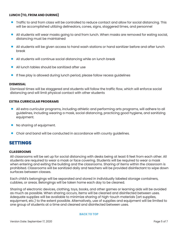#### <span id="page-4-0"></span>**LUNCH (TO, FROM AND DURING)**

- Traffic to and from class will be controlled to reduce contact and allow for social distancing. This will be accomplished utilizing delineators, cones, signs, staggered times, and personnel
- All students will wear masks going to and from lunch. When masks are removed for eating social, distancing must be maintained  $\bullet$
- All students will be given access to hand wash stations or hand sanitizer before and after lunch break  $\bullet$
- All students will continue social distancing while on lunch break  $\bullet$
- All lunch tables should be sanitized after use  $\bullet$
- If free play is allowed during lunch period, please follow recess guidelines  $\bullet$

#### **DISMISSAL**

Dismissal times will be staggered and students will follow the traffic flow, which will enforce social distancing and will limit physical contact with other students

#### **EXTRA CURRICULAR PROGRAMS**

- All extra curricular programs, including athletic and performing arts programs, will adhere to all guidelines, including wearing a mask, social distancing, practicing good hygiene, and sanitizing equipment.  $\bullet$
- No sharing of equipment.  $\bullet$
- Choir and band will be conducted in accordance with county guidelines.  $\bullet$

### SETTINGS

#### **CLASSROOMS**

All classrooms will be set up for social distancing with desks being at least 6 feet from each other. All students are required to wear a mask or face covering. Students will be required to wear a mask when entering and exiting the building and the classrooms. Sharing of items within the classroom is prohibited. Classrooms will be sanitized daily and teachers will be provided disinfectant to wipe down surfaces between classes.

Each child's belongings will be separated and stored in individually labeled storage containers, cubbies, or areas. Belongings will be taken home each day to be cleaned.

Sharing of electronic devices, clothing, toys, books, and other games or learning aids will be avoided as much as possible. When sharing occurs, items will be cleaned and disinfected between uses. Adequate supplies will be available to minimize sharing of high-touch materials (art supplies, equipment, etc.) to the extent possible. Alternatively, use of supplies and equipment will be limited to one group of students at a time and cleaned and disinfected between uses.

#### **[BACK TO TOP](#page-0-0)**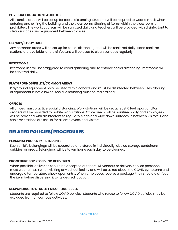#### <span id="page-5-0"></span>**PHYSICAL EDUCATION FACILITIES**

All exercise areas will be set up for social distancing. Students will be required to wear a mask when entering and exiting the building and the classrooms. Sharing of items within the classroom is prohibited. The workout areas will be sanitized daily and teachers will be provided with disinfectant to clean surfaces and equipment between classes.

#### **LIBRARY/STUDY HALL**

Any common areas will be set up for social distancing and will be sanitized daily. Hand sanitizer stations are available, and disinfectant will be used to clean surfaces regularly.

#### **RESTROOMS**

Restroom use will be staggered to avoid gathering and to enforce social distancing. Restrooms will be sanitized daily.

#### **PLAYGROUNDS/FIELDS/COMMON AREAS**

Playground equipment may be used within cohorts and must be disinfected between uses. Sharing of equipment is not allowed. Social distancing must be maintained.

#### **OFFICES**

All offices must practice social distancing. Work stations will be set at least 6 feet apart and/or dividers will be provided to isolate work stations. Office areas will be sanitized daily and employees will be provided with disinfectant to regularly clean and wipe down surfaces in between visitors. Hand sanitizer stations are set up for all employees and visitors.

# RELATED POLICIES/ PROCEDURES

#### **PERSONAL PROPERTY - STUDENTS**

Each child's belongings will be separated and stored in individually labeled storage containers, cubbies, or areas. Belongings will be taken home each day to be cleaned.

#### **PROCEDURE FOR RECEIVING DELIVERIES**

When possible, deliveries should be accepted outdoors. All vendors or delivery service personnel must wear a mask when visiting any school facility and will be asked about the COVID symptoms and undergo a temperature check upon entry. When employees receive a package, they should disinfect the item before dispersing it to its desired location.

#### **RESPONDING TO STUDENT DISCIPLINE ISSUES**

Students are required to follow COVID policies. Students who refuse to follow COVID policies may be excluded from on campus activities.